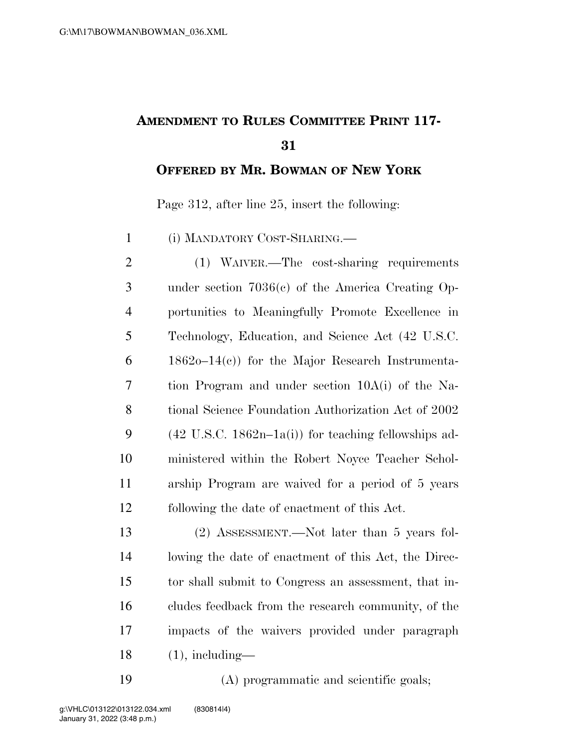## **AMENDMENT TO RULES COMMITTEE PRINT 117-**

**OFFERED BY MR. BOWMAN OF NEW YORK**

Page 312, after line 25, insert the following:

(i) MANDATORY COST-SHARING.—

 (1) WAIVER.—The cost-sharing requirements under section 7036(c) of the America Creating Op- portunities to Meaningfully Promote Excellence in Technology, Education, and Science Act (42 U.S.C. 1862o–14(c)) for the Major Research Instrumenta- tion Program and under section 10A(i) of the Na- tional Science Foundation Authorization Act of 2002 9 (42 U.S.C. 1862n–1a(i)) for teaching fellowships ad- ministered within the Robert Noyce Teacher Schol- arship Program are waived for a period of 5 years following the date of enactment of this Act.

 (2) ASSESSMENT.—Not later than 5 years fol- lowing the date of enactment of this Act, the Direc- tor shall submit to Congress an assessment, that in- cludes feedback from the research community, of the impacts of the waivers provided under paragraph (1), including—

(A) programmatic and scientific goals;